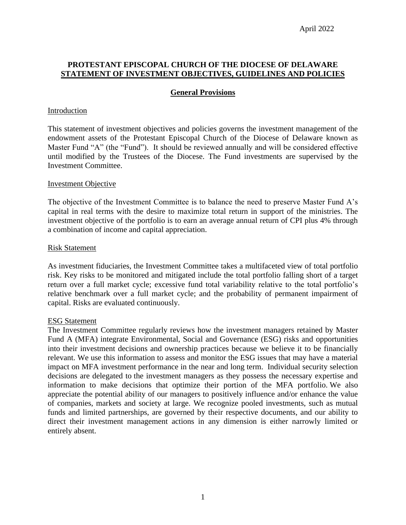### **PROTESTANT EPISCOPAL CHURCH OF THE DIOCESE OF DELAWARE STATEMENT OF INVESTMENT OBJECTIVES, GUIDELINES AND POLICIES**

## **General Provisions**

#### Introduction

This statement of investment objectives and policies governs the investment management of the endowment assets of the Protestant Episcopal Church of the Diocese of Delaware known as Master Fund "A" (the "Fund"). It should be reviewed annually and will be considered effective until modified by the Trustees of the Diocese. The Fund investments are supervised by the Investment Committee.

#### Investment Objective

The objective of the Investment Committee is to balance the need to preserve Master Fund A's capital in real terms with the desire to maximize total return in support of the ministries. The investment objective of the portfolio is to earn an average annual return of CPI plus 4% through a combination of income and capital appreciation.

#### Risk Statement

As investment fiduciaries, the Investment Committee takes a multifaceted view of total portfolio risk. Key risks to be monitored and mitigated include the total portfolio falling short of a target return over a full market cycle; excessive fund total variability relative to the total portfolio's relative benchmark over a full market cycle; and the probability of permanent impairment of capital. Risks are evaluated continuously.

#### ESG Statement

The Investment Committee regularly reviews how the investment managers retained by Master Fund A (MFA) integrate Environmental, Social and Governance (ESG) risks and opportunities into their investment decisions and ownership practices because we believe it to be financially relevant. We use this information to assess and monitor the ESG issues that may have a material impact on MFA investment performance in the near and long term. Individual security selection decisions are delegated to the investment managers as they possess the necessary expertise and information to make decisions that optimize their portion of the MFA portfolio. We also appreciate the potential ability of our managers to positively influence and/or enhance the value of companies, markets and society at large. We recognize pooled investments, such as mutual funds and limited partnerships, are governed by their respective documents, and our ability to direct their investment management actions in any dimension is either narrowly limited or entirely absent.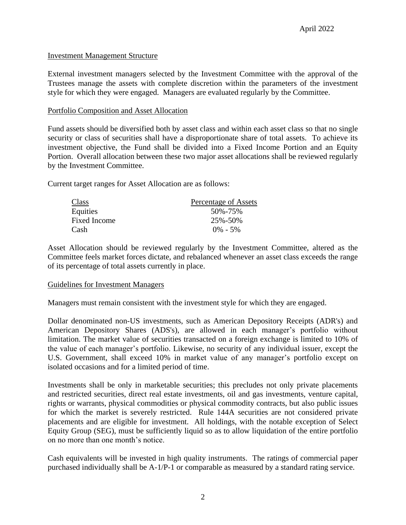# Investment Management Structure

External investment managers selected by the Investment Committee with the approval of the Trustees manage the assets with complete discretion within the parameters of the investment style for which they were engaged. Managers are evaluated regularly by the Committee.

## Portfolio Composition and Asset Allocation

Fund assets should be diversified both by asset class and within each asset class so that no single security or class of securities shall have a disproportionate share of total assets. To achieve its investment objective, the Fund shall be divided into a Fixed Income Portion and an Equity Portion. Overall allocation between these two major asset allocations shall be reviewed regularly by the Investment Committee.

Current target ranges for Asset Allocation are as follows:

| Class        | Percentage of Assets |
|--------------|----------------------|
| Equities     | 50%-75%              |
| Fixed Income | 25%-50%              |
| Cash         | $0\% - 5\%$          |

Asset Allocation should be reviewed regularly by the Investment Committee, altered as the Committee feels market forces dictate, and rebalanced whenever an asset class exceeds the range of its percentage of total assets currently in place.

## Guidelines for Investment Managers

Managers must remain consistent with the investment style for which they are engaged.

Dollar denominated non-US investments, such as American Depository Receipts (ADR's) and American Depository Shares (ADS's), are allowed in each manager's portfolio without limitation. The market value of securities transacted on a foreign exchange is limited to 10% of the value of each manager's portfolio. Likewise, no security of any individual issuer, except the U.S. Government, shall exceed 10% in market value of any manager's portfolio except on isolated occasions and for a limited period of time.

Investments shall be only in marketable securities; this precludes not only private placements and restricted securities, direct real estate investments, oil and gas investments, venture capital, rights or warrants, physical commodities or physical commodity contracts, but also public issues for which the market is severely restricted. Rule 144A securities are not considered private placements and are eligible for investment. All holdings, with the notable exception of Select Equity Group (SEG), must be sufficiently liquid so as to allow liquidation of the entire portfolio on no more than one month's notice.

Cash equivalents will be invested in high quality instruments. The ratings of commercial paper purchased individually shall be A-1/P-1 or comparable as measured by a standard rating service.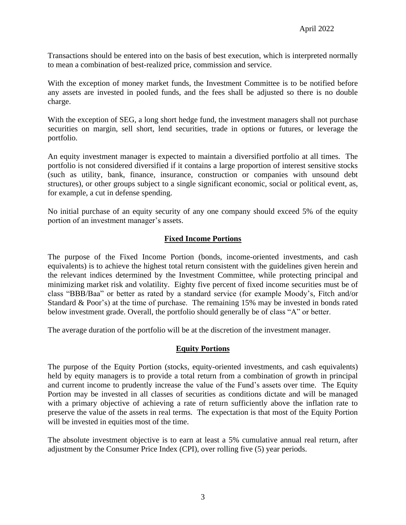Transactions should be entered into on the basis of best execution, which is interpreted normally to mean a combination of best-realized price, commission and service.

With the exception of money market funds, the Investment Committee is to be notified before any assets are invested in pooled funds, and the fees shall be adjusted so there is no double charge.

With the exception of SEG, a long short hedge fund, the investment managers shall not purchase securities on margin, sell short, lend securities, trade in options or futures, or leverage the portfolio.

An equity investment manager is expected to maintain a diversified portfolio at all times. The portfolio is not considered diversified if it contains a large proportion of interest sensitive stocks (such as utility, bank, finance, insurance, construction or companies with unsound debt structures), or other groups subject to a single significant economic, social or political event, as, for example, a cut in defense spending.

No initial purchase of an equity security of any one company should exceed 5% of the equity portion of an investment manager's assets.

# **Fixed Income Portions**

The purpose of the Fixed Income Portion (bonds, income-oriented investments, and cash equivalents) is to achieve the highest total return consistent with the guidelines given herein and the relevant indices determined by the Investment Committee, while protecting principal and minimizing market risk and volatility. Eighty five percent of fixed income securities must be of class "BBB/Baa" or better as rated by a standard service (for example Moody's, Fitch and/or Standard & Poor's) at the time of purchase. The remaining 15% may be invested in bonds rated below investment grade. Overall, the portfolio should generally be of class "A" or better.

The average duration of the portfolio will be at the discretion of the investment manager.

## **Equity Portions**

The purpose of the Equity Portion (stocks, equity-oriented investments, and cash equivalents) held by equity managers is to provide a total return from a combination of growth in principal and current income to prudently increase the value of the Fund's assets over time. The Equity Portion may be invested in all classes of securities as conditions dictate and will be managed with a primary objective of achieving a rate of return sufficiently above the inflation rate to preserve the value of the assets in real terms. The expectation is that most of the Equity Portion will be invested in equities most of the time.

The absolute investment objective is to earn at least a 5% cumulative annual real return, after adjustment by the Consumer Price Index (CPI), over rolling five (5) year periods.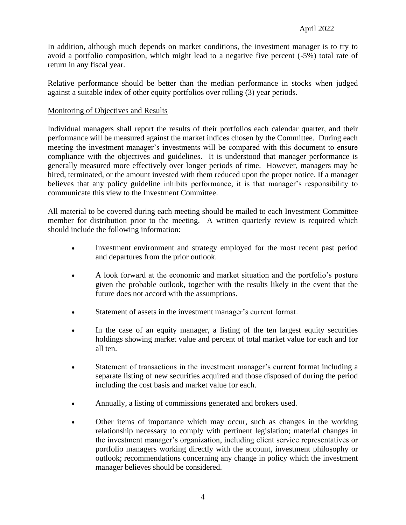In addition, although much depends on market conditions, the investment manager is to try to avoid a portfolio composition, which might lead to a negative five percent (-5%) total rate of return in any fiscal year.

Relative performance should be better than the median performance in stocks when judged against a suitable index of other equity portfolios over rolling (3) year periods.

# Monitoring of Objectives and Results

Individual managers shall report the results of their portfolios each calendar quarter, and their performance will be measured against the market indices chosen by the Committee. During each meeting the investment manager's investments will be compared with this document to ensure compliance with the objectives and guidelines. It is understood that manager performance is generally measured more effectively over longer periods of time. However, managers may be hired, terminated, or the amount invested with them reduced upon the proper notice. If a manager believes that any policy guideline inhibits performance, it is that manager's responsibility to communicate this view to the Investment Committee.

All material to be covered during each meeting should be mailed to each Investment Committee member for distribution prior to the meeting. A written quarterly review is required which should include the following information:

- Investment environment and strategy employed for the most recent past period and departures from the prior outlook.
- A look forward at the economic and market situation and the portfolio's posture given the probable outlook, together with the results likely in the event that the future does not accord with the assumptions.
- Statement of assets in the investment manager's current format.
- In the case of an equity manager, a listing of the ten largest equity securities holdings showing market value and percent of total market value for each and for all ten.
- Statement of transactions in the investment manager's current format including a separate listing of new securities acquired and those disposed of during the period including the cost basis and market value for each.
- Annually, a listing of commissions generated and brokers used.
- Other items of importance which may occur, such as changes in the working relationship necessary to comply with pertinent legislation; material changes in the investment manager's organization, including client service representatives or portfolio managers working directly with the account, investment philosophy or outlook; recommendations concerning any change in policy which the investment manager believes should be considered.